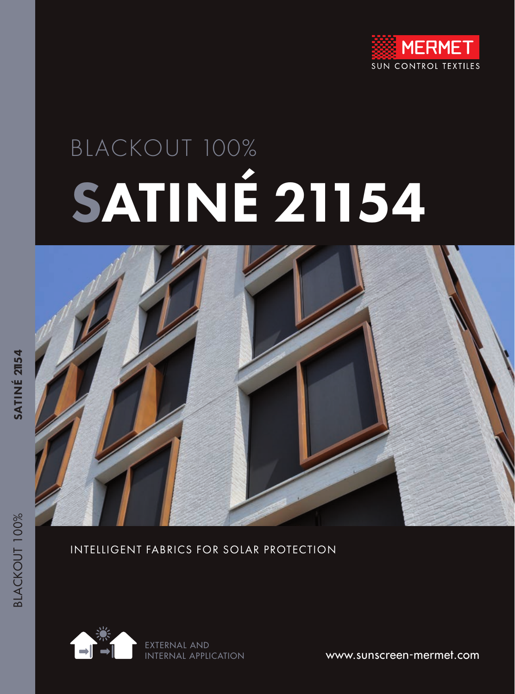

# BLACKOUT 100% SATINÉ 21154



#### INTELLIGENT FABRICS FOR SOLAR PROTECTION



www.sunscreen-mermet.com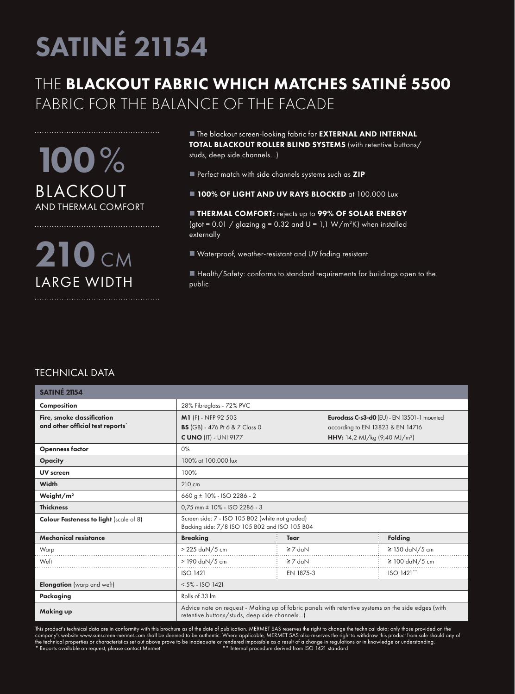### THE BLACKOUT FABRIC WHICH MATCHES SATINÉ 5500 FABRIC FOR THE BALANCE OF THE FACADE

100% BLACKOUT AND THERMAL COMFORT

210 CM LARGE WIDTH

 $\blacksquare$  The blackout screen-looking fabric for EXTERNAL AND INTERNAL TOTAL BLACKOUT ROLLER BLIND SYSTEMS (with retentive buttons/ studs, deep side channels...)

Perfect match with side channels systems such as ZIP

**100% OF LIGHT AND UV RAYS BLOCKED at 100.000 Lux** 

**THERMAL COMFORT:** rejects up to 99% OF SOLAR ENERGY (gtot =  $0.01 /$  glazing g =  $0.32$  and U =  $1.1 W/m<sup>2</sup>K$ ) when installed externally

■ Waterproof, weather-resistant and UV fading resistant

■ Health/Safety: conforms to standard requirements for buildings open to the public

#### TECHNICAL DATA

| <b>SATINÉ 21154</b>                                           |                                                                                                                                                    |              |                                                                                                                                     |                     |  |  |
|---------------------------------------------------------------|----------------------------------------------------------------------------------------------------------------------------------------------------|--------------|-------------------------------------------------------------------------------------------------------------------------------------|---------------------|--|--|
| Composition                                                   | 28% Fibreglass - 72% PVC                                                                                                                           |              |                                                                                                                                     |                     |  |  |
| Fire, smoke classification<br>and other official test reports | M1 (F) - NFP 92 503<br><b>BS</b> (GB) - 476 Pt 6 & 7 Class 0<br><b>C UNO (IT) - UNI 9177</b>                                                       |              | Euroclass C-s3-d0 (EU) - EN 13501-1 mounted<br>according to EN 13823 & EN 14716<br><b>HHV:</b> 14,2 MJ/kg (9,40 MJ/m <sup>2</sup> ) |                     |  |  |
| <b>Openness factor</b>                                        | $0\%$                                                                                                                                              |              |                                                                                                                                     |                     |  |  |
| <b>Opacity</b>                                                | 100% at 100,000 lux                                                                                                                                |              |                                                                                                                                     |                     |  |  |
| <b>UV</b> screen                                              | 100%                                                                                                                                               |              |                                                                                                                                     |                     |  |  |
| <b>Width</b>                                                  | 210 cm                                                                                                                                             |              |                                                                                                                                     |                     |  |  |
| Weight/m <sup>2</sup>                                         | 660 g $\pm$ 10% - ISO 2286 - 2                                                                                                                     |              |                                                                                                                                     |                     |  |  |
| <b>Thickness</b>                                              | $0.75$ mm $\pm$ 10% - ISO 2286 - 3                                                                                                                 |              |                                                                                                                                     |                     |  |  |
| <b>Colour Fasteness to light (scale of 8)</b>                 | Screen side: 7 - ISO 105 B02 (white not graded)<br>Backing side: 7/8 ISO 105 B02 and ISO 105 B04                                                   |              |                                                                                                                                     |                     |  |  |
| <b>Mechanical resistance</b>                                  | <b>Breaking</b>                                                                                                                                    | <b>Tear</b>  |                                                                                                                                     | <b>Folding</b>      |  |  |
| Warp                                                          | $>225$ daN/5 cm                                                                                                                                    | $\geq 7$ daN |                                                                                                                                     | $\geq$ 150 daN/5 cm |  |  |
| Weft                                                          | > 190 daN/5 cm                                                                                                                                     | $\geq 7$ daN |                                                                                                                                     | $\geq$ 100 daN/5 cm |  |  |
|                                                               | <b>ISO 1421</b>                                                                                                                                    | EN 1875-3    |                                                                                                                                     | ISO 1421**          |  |  |
| <b>Elongation</b> (warp and weft)                             | $< 5\% - ISO 1421$                                                                                                                                 |              |                                                                                                                                     |                     |  |  |
| Packaging                                                     | Rolls of 33 Im                                                                                                                                     |              |                                                                                                                                     |                     |  |  |
| <b>Making up</b>                                              | Advice note on request - Making up of fabric panels with retentive systems on the side edges (with<br>retentive buttons/studs, deep side channels) |              |                                                                                                                                     |                     |  |  |

This product's technical data are in conformity with this brochure as of the date of publication. MERMET SAS reserves the right to change the technical data; only those provided on the company's website www.sunscreen-mermet.com shall be deemed to be authentic. Where applicable, MERMET SAS also reserves the right to withdraw this product from sale should any of the technical properties or characteristics set out above prove to be inadequate or rendered impossible as a result of a change in regulations or in knowledge or understanding.<br>\* Reports available on request, please contac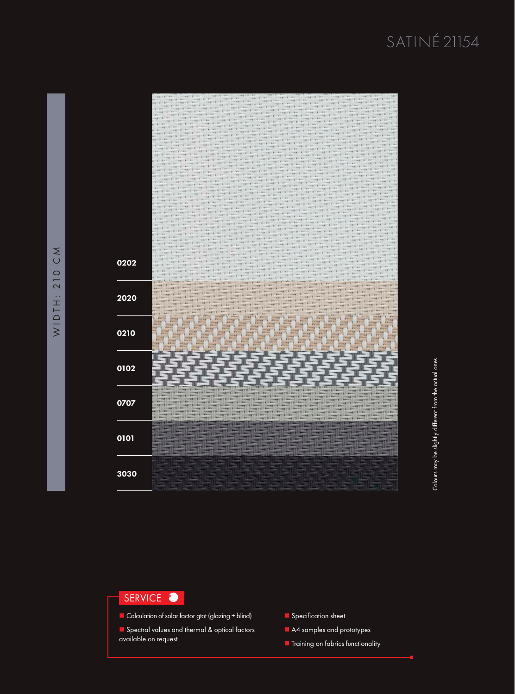

#### SERVICE  $\bullet$

- $\Box$  Calculation of solar factor gtot (glazing + blind)
- **n** Spectral values and thermal & optical factors available on request
- Specification sheet
- A4 samples and prototypes
- **n** Training on fabrics functionality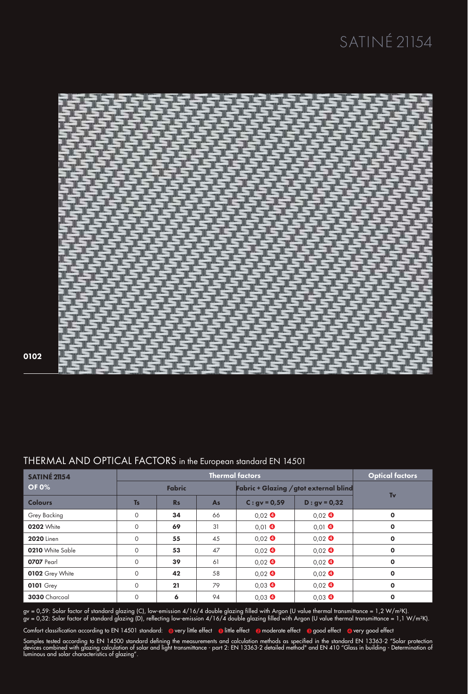

#### 0102

| <b>SATINÉ 21154</b> | <b>Thermal factors</b> |           |                                               |                  |                  | <b>Optical factors</b> |
|---------------------|------------------------|-----------|-----------------------------------------------|------------------|------------------|------------------------|
| <b>OF 0%</b>        | <b>Fabric</b>          |           | <b>Fabric + Glazing / gtot external blind</b> |                  |                  |                        |
| <b>Colours</b>      | <b>Ts</b>              | <b>Rs</b> | As                                            | $C: gV = 0.59$   | $D: qv = 0, 32$  | Tv                     |
| <b>Grey Backing</b> | $\circ$                | 34        | 66                                            | $0.02$ $\bullet$ | $0.02$ $\bullet$ | $\mathbf{o}$           |
| <b>0202 White</b>   | $\circ$                | 69        | 31                                            | $0,01$ $\bullet$ | $0.01$ $\bullet$ | $\mathbf 0$            |
| <b>2020</b> Linen   | $\circ$                | 55        | 45                                            | $0.02$ $\bullet$ | $0.02$ $\bullet$ | $\mathbf o$            |
| 0210 White Sable    | $\circ$                | 53        | 47                                            | $0.02$ $\bullet$ | $0.02$ $\bullet$ | $\mathbf{o}$           |
| 0707 Pearl          | $\circ$                | 39        | 61                                            | $0.02$ $\bullet$ | $0.02$ $\bullet$ | $\mathbf 0$            |
| 0102 Grey White     | $\circ$                | 42        | 58                                            | $0.02$ $\bullet$ | $0.02$ $\bullet$ | $\mathbf o$            |
| <b>0101 Grey</b>    | $\circ$                | 21        | 79                                            | $0.03$ $\bullet$ | $0.02$ $\bullet$ | $\mathbf o$            |
| 3030 Charcoal       | $\Omega$               | 6         | 94                                            | $0.03$ $\bullet$ | $0.03$ $\bullet$ | $\mathbf o$            |

#### THERMAL AND OPTICAL FACTORS in the European standard EN 14501

gv = 0,59: Solar factor of standard glazing (C), low-emission 4/16/4 double glazing filled with Argon (U value thermal transmittance = 1,2 W/m²K). gv = 0,32: Solar factor of standard glazing (D), reflecting low-emission 4/16/4 double glazing filled with Argon (U value thermal transmittance = 1,1 W/m²K).

Comfort classification according to EN 14501 standard: overy little effect olittle effect a moderate effect a good effect overy good effect

Samples tested according to EN 14500 standard defining the measurements and calculation methods as specified in the standard EN 13363-2 "Solar protection devices combined with glazing calculation of solar and light transmittance - part 2: EN 13363-2 detailed method" and EN 410 "Glass in building - Determination of luminous and solar characteristics of glazing".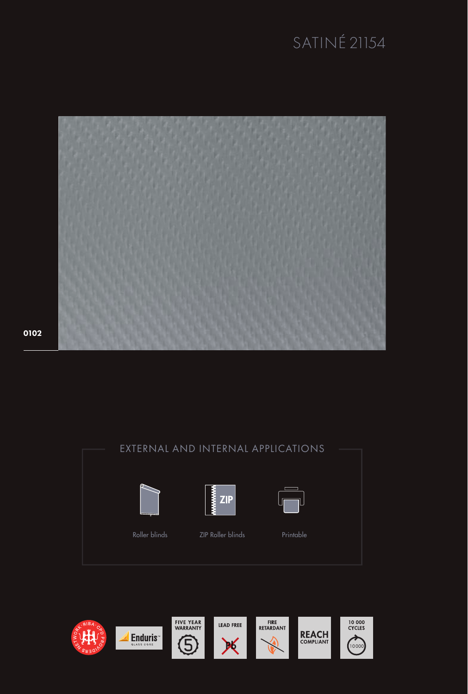

0102